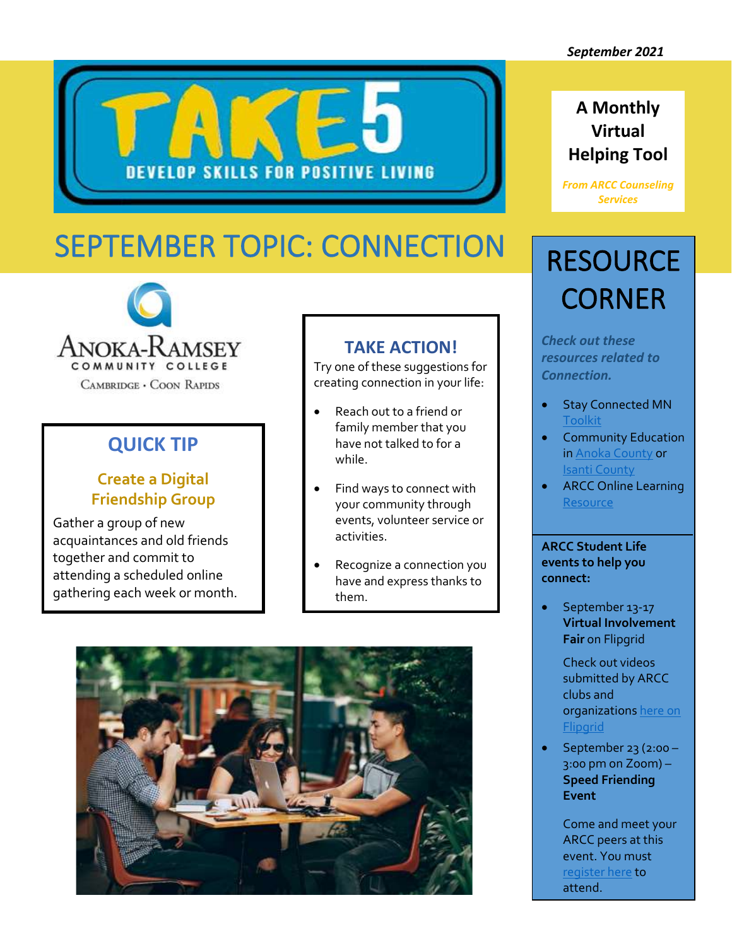

### **A Monthly Virtual Helping Tool**

*From ARCC Counseling Services* 

# SEPTEMBER TOPIC: CONNECTION



### **QUICK TIP**

#### **Create a Digital Friendship Group**

Gather a group of new acquaintances and old friends together and commit to attending a scheduled online gathering each week or month.

### **TAKE ACTION!**

Try one of these suggestions for creating connection in your life:

- Reach out to a friend or family member that you have not talked to for a while.
- Find ways to connect with your community through events, volunteer service or activities.
- Recognize a connection you have and express thanks to them.



### **RESOURCE CORNER**

*Check out these resources related to Connection.* 

- Stay Connected MN **[Toolkit](https://www.health.state.mn.us/communities/suicide/documents/stayconnectedmntoolkit.pdf)**
- Community Education i[n Anoka County](https://www.ahschools.us/domain/452) or [Isanti County](https://c-ischools.ce.eleyo.com/courses/category/61/adult-programs)
- ARCC Online Learning **[Resource](https://www.anokaramsey.edu/academics/online-learning/)**

**ARCC Student Life events to help you connect:**

• September 13-17 **Virtual Involvement Fair** on Flipgrid

> Check out videos submitted by ARCC clubs and organization[s here on](https://flipgrid.com/f32ad2ba)  **[Flipgrid](https://flipgrid.com/f32ad2ba)**

• September 23 (2:00 – 3:00 pm on Zoom) – **Speed Friending Event**

> Come and meet your ARCC peers at this event. You must [register here](https://minnstate.zoom.us/meeting/register/tJUtd-yqpj0tH9e7JPOedEVMgR1nppxcTO83) to attend.